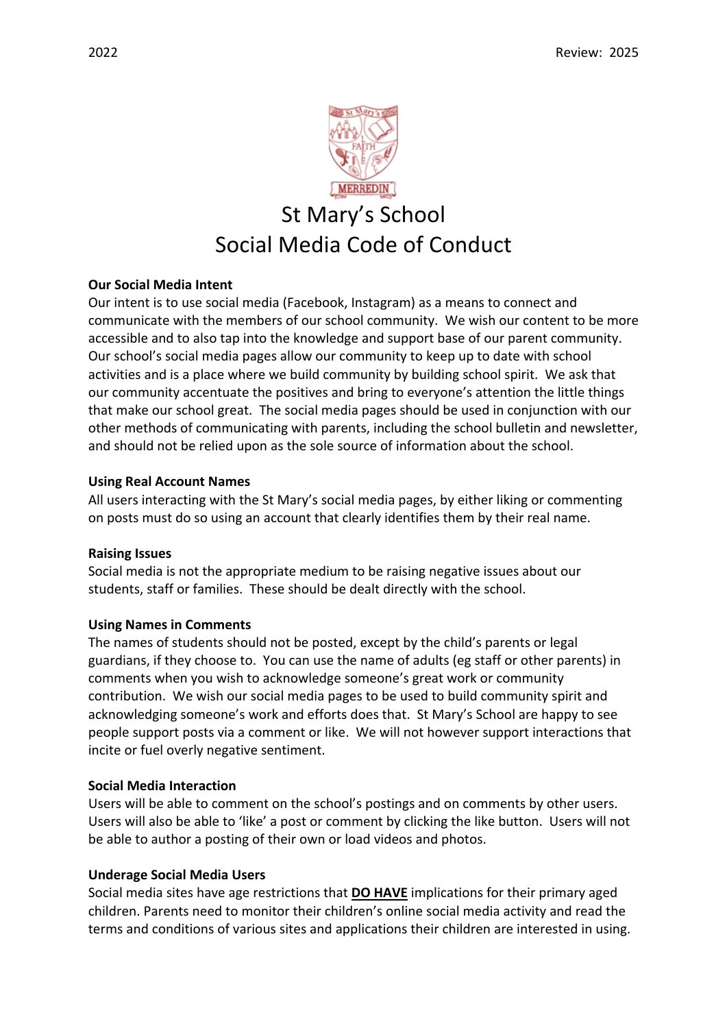

# **Our Social Media Intent**

Our intent is to use social media (Facebook, Instagram) as a means to connect and communicate with the members of our school community. We wish our content to be more accessible and to also tap into the knowledge and support base of our parent community. Our school's social media pages allow our community to keep up to date with school activities and is a place where we build community by building school spirit. We ask that our community accentuate the positives and bring to everyone's attention the little things that make our school great. The social media pages should be used in conjunction with our other methods of communicating with parents, including the school bulletin and newsletter, and should not be relied upon as the sole source of information about the school.

## **Using Real Account Names**

All users interacting with the St Mary's social media pages, by either liking or commenting on posts must do so using an account that clearly identifies them by their real name.

## **Raising Issues**

Social media is not the appropriate medium to be raising negative issues about our students, staff or families. These should be dealt directly with the school.

## **Using Names in Comments**

The names of students should not be posted, except by the child's parents or legal guardians, if they choose to. You can use the name of adults (eg staff or other parents) in comments when you wish to acknowledge someone's great work or community contribution. We wish our social media pages to be used to build community spirit and acknowledging someone's work and efforts does that. St Mary's School are happy to see people support posts via a comment or like. We will not however support interactions that incite or fuel overly negative sentiment.

## **Social Media Interaction**

Users will be able to comment on the school's postings and on comments by other users. Users will also be able to 'like' a post or comment by clicking the like button. Users will not be able to author a posting of their own or load videos and photos.

## **Underage Social Media Users**

Social media sites have age restrictions that **DO HAVE** implications for their primary aged children. Parents need to monitor their children's online social media activity and read the terms and conditions of various sites and applications their children are interested in using.